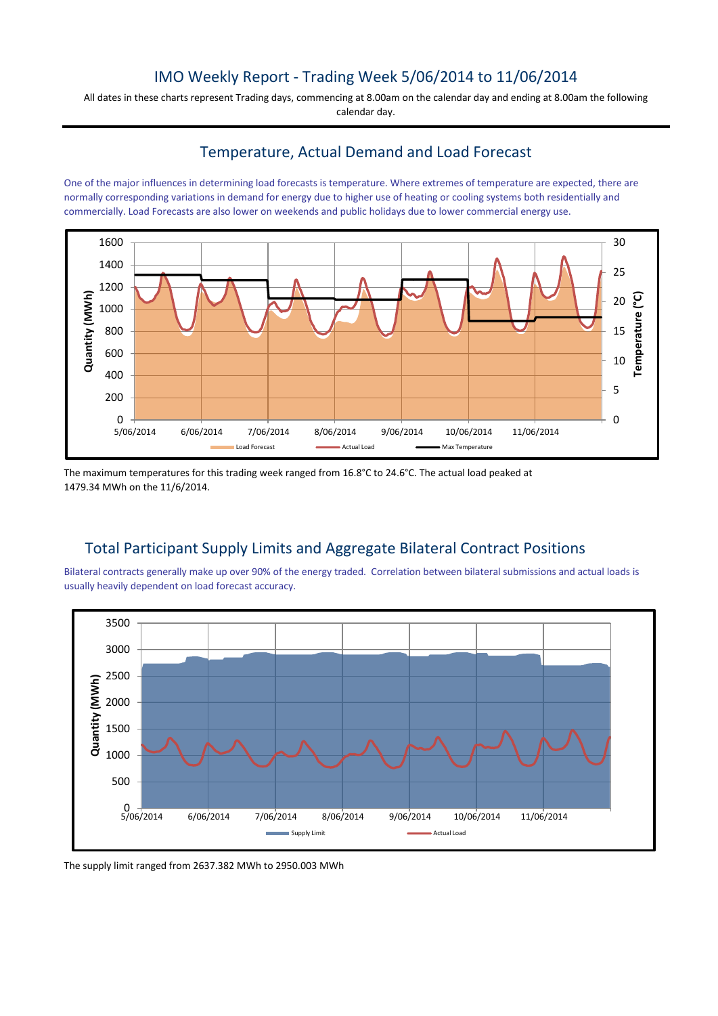# IMO Weekly Report - Trading Week 5/06/2014 to 11/06/2014

All dates in these charts represent Trading days, commencing at 8.00am on the calendar day and ending at 8.00am the following calendar day.

### Temperature, Actual Demand and Load Forecast

One of the major influences in determining load forecasts is temperature. Where extremes of temperature are expected, there are normally corresponding variations in demand for energy due to higher use of heating or cooling systems both residentially and commercially. Load Forecasts are also lower on weekends and public holidays due to lower commercial energy use.



The maximum temperatures for this trading week ranged from 16.8°C to 24.6°C. The actual load peaked at 1479.34 MWh on the 11/6/2014.

# Total Participant Supply Limits and Aggregate Bilateral Contract Positions

Bilateral contracts generally make up over 90% of the energy traded. Correlation between bilateral submissions and actual loads is usually heavily dependent on load forecast accuracy.



The supply limit ranged from 2637.382 MWh to 2950.003 MWh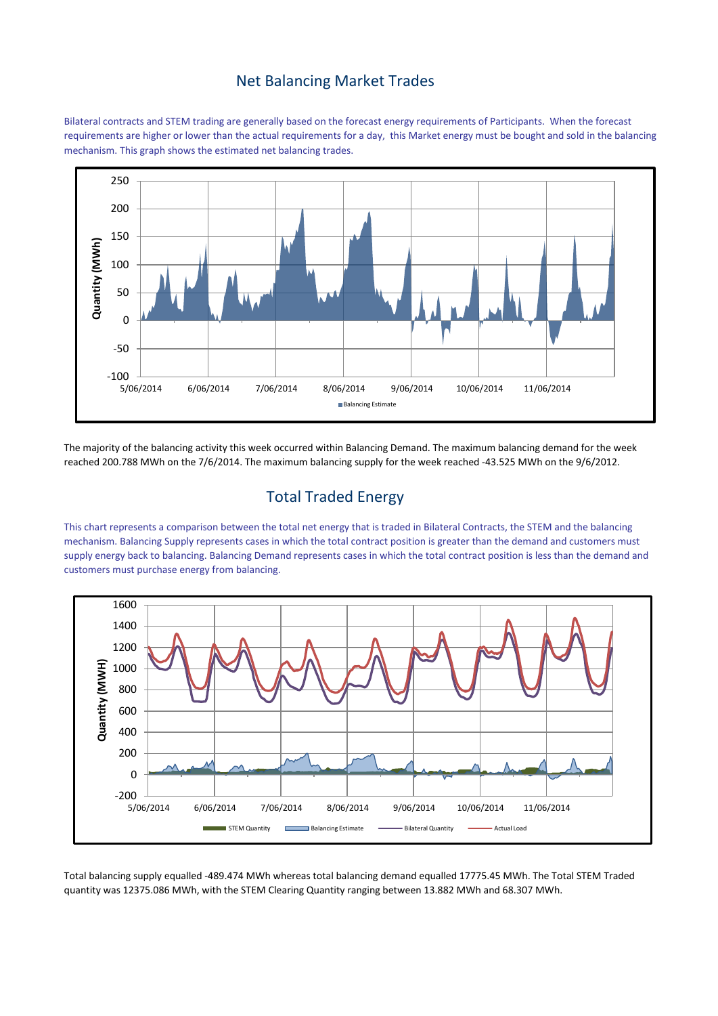#### Net Balancing Market Trades

Bilateral contracts and STEM trading are generally based on the forecast energy requirements of Participants. When the forecast requirements are higher or lower than the actual requirements for a day, this Market energy must be bought and sold in the balancing mechanism. This graph shows the estimated net balancing trades.



The majority of the balancing activity this week occurred within Balancing Demand. The maximum balancing demand for the week reached 200.788 MWh on the 7/6/2014. The maximum balancing supply for the week reached -43.525 MWh on the 9/6/2012.

# Total Traded Energy

This chart represents a comparison between the total net energy that is traded in Bilateral Contracts, the STEM and the balancing mechanism. Balancing Supply represents cases in which the total contract position is greater than the demand and customers must supply energy back to balancing. Balancing Demand represents cases in which the total contract position is less than the demand and customers must purchase energy from balancing.



Total balancing supply equalled -489.474 MWh whereas total balancing demand equalled 17775.45 MWh. The Total STEM Traded quantity was 12375.086 MWh, with the STEM Clearing Quantity ranging between 13.882 MWh and 68.307 MWh.